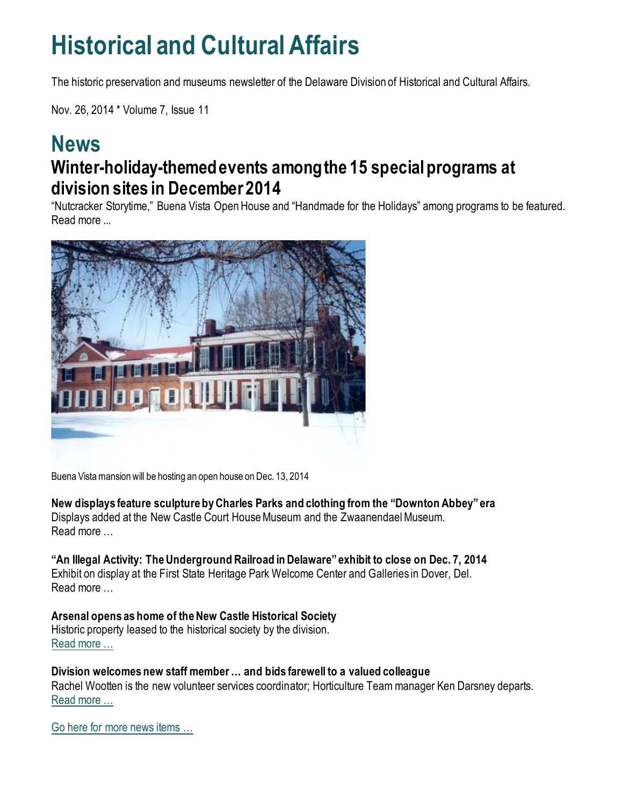## **Historical and Cultural Affairs**

The historic preservation and museums newsletter of the Delaware Division of Historical and Cultural Affairs.

Nov. 26, 2014 \* Volume 7, Issue 11

### **News Winter-holiday-themed events among the 15 special programs at division sites in December 2014**

"Nutcracker Storytime," Buena Vista Open House and "Handmade for the Holidays" among programs to be featured. Read more ...



Buena Vista mansion will be hosting an open house on Dec. 13, 2014

**New displays feature sculpture by Charles Parks and clothing from the "Downton Abbey" era** Displays added at the New Castle Court House Museum and the Zwaanendael Museum. Read more …

**"An Illegal Activity: The Underground Railroad in Delaware" exhibit to close on Dec. 7, 2014** Exhibit on display at the First State Heritage Park Welcome Center and Galleries in Dover, Del. Read more …

**Arsenal opens as home of the New Castle Historical Society** Historic property leased to the historical society by the division. [Read more …](https://history.delaware.gov/2014/11/25/arsenal-opens-as-home-of-the-new-castle-historical-society/)

**Division welcomes new staff member … and bids farewell to a valued colleague** Rachel Wootten is the new volunteer services coordinator; Horticulture Team manager Ken Darsney departs. [Read more …](https://history.delaware.gov/2014/11/25/division-welcomes-new-staff-member-and-bids-farewell-to-a-valued-colleague/)

Go here [for more news items …](http://history.blogs.delaware.gov/)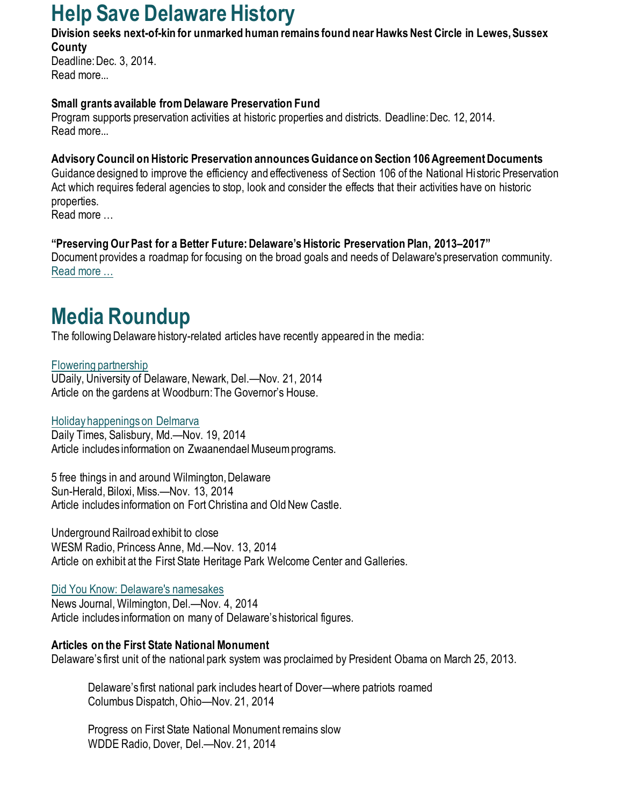## **Help Save Delaware History**

**Division seeks next-of-kin for unmarked human remains found near Hawks Nest Circle in Lewes, Sussex County** 

Deadline: Dec. 3, 2014. Read more...

#### **Small grants available from Delaware Preservation Fund**

Program supports preservation activities at historic properties and districts. Deadline: Dec. 12, 2014. Read more...

#### **Advisory Council on Historic Preservation announces Guidance on Section 106 Agreement Documents**

Guidance designed to improve the efficiency and effectiveness of Section 106 of the National Historic Preservation Act which requires federal agencies to stop, look and consider the effects that their activities have on historic properties.

Read more …

#### **"Preserving Our Past for a Better Future: Delaware's Historic Preservation Plan, 2013–2017"**

Document provides a roadmap for focusing on the broad goals and needs of Delaware's preservation community. [Read more …](https://history.delaware.gov/wp-content/uploads/sites/179/2019/02/Preservation-Plan-2013-2017.pdf)

## **Media Roundup**

The following Delaware history-related articles have recently appeared in the media:

[Flowering partnership](http://www.udel.edu/udaily/2015/nov/UDBG112114.html) UDaily, University of Delaware, Newark, Del.—Nov. 21, 2014 Article on the gardens at Woodburn: The Governor's House.

[Holiday happenings on Delmarva](http://www.delmarvanow.com/story/entertainment/culture/2014/11/19/holiday-best-bet/19295973/) Daily Times, Salisbury, Md.—Nov. 19, 2014 Article includes information on Zwaanendael Museum programs.

5 free things in and around Wilmington, Delaware Sun-Herald, Biloxi, Miss.—Nov. 13, 2014 Article includes information on Fort Christina and Old New Castle.

Underground Railroad exhibit to close WESM Radio, Princess Anne, Md.—Nov. 13, 2014 Article on exhibit at the First State Heritage Park Welcome Center and Galleries.

#### [Did You Know: Delaware's namesakes](https://www.delawareonline.com/story/life/did-you-know/2014/11/04/did-you-know-delawares-namesakes/18478777/)

News Journal, Wilmington, Del.—Nov. 4, 2014 Article includes information on many of Delaware's historical figures.

#### **Articles on the First State National Monument**

Delaware's first unit of the national park system was proclaimed by President Obama on March 25, 2013.

Delaware's first national park includes heart of Dover—where patriots roamed Columbus Dispatch, Ohio—Nov. 21, 2014

Progress on First State National Monument remains slow WDDE Radio, Dover, Del.—Nov. 21, 2014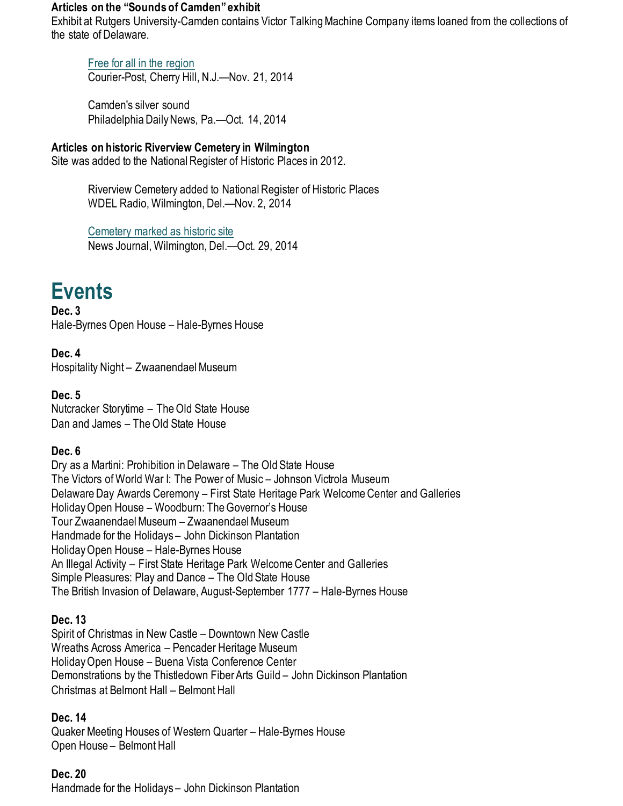#### **Articles on the "Sounds of Camden" exhibit**

Exhibit at Rutgers University-Camden contains Victor Talking Machine Company items loaned from the collections of the state of Delaware.

#### [Free for all in the region](https://www.courierpostonline.com/story/entertainment/2014/11/21/free-region/70045568/)

Courier-Post, Cherry Hill, N.J.—Nov. 21, 2014

Camden's silver sound Philadelphia Daily News, Pa.—Oct. 14, 2014

**Articles on historic Riverview Cemetery in Wilmington** Site was added to the National Register of Historic Places in 2012.

> Riverview Cemetery added to National Register of Historic Places WDEL Radio, Wilmington, Del.—Nov. 2, 2014

[Cemetery marked as historic site](https://www.delawareonline.com/story/news/local/2014/10/30/riverview-cemetery-marked-historic-site/18160683/) News Journal, Wilmington, Del.—Oct. 29, 2014

## **Events**

**Dec. 3** Hale-Byrnes Open House – Hale-Byrnes House

**Dec. 4**  Hospitality Night – Zwaanendael Museum

#### **Dec. 5**

Nutcracker Storytime – The Old State House Dan and James – The Old State House

#### **Dec. 6**

Dry as a Martini: Prohibition in Delaware – The Old State House The Victors of World War I: The Power of Music – Johnson Victrola Museum Delaware Day Awards Ceremony – First State Heritage Park Welcome Center and Galleries Holiday Open House – Woodburn: The Governor's House Tour Zwaanendael Museum – Zwaanendael Museum Handmade for the Holidays – John Dickinson Plantation Holiday Open House – Hale-Byrnes House An Illegal Activity – First State Heritage Park Welcome Center and Galleries Simple Pleasures: Play and Dance – The Old State House The British Invasion of Delaware, August-September 1777 – Hale-Byrnes House

#### **Dec. 13**

Spirit of Christmas in New Castle – Downtown New Castle Wreaths Across America – Pencader Heritage Museum Holiday Open House – Buena Vista Conference Center Demonstrations by the Thistledown Fiber Arts Guild – John Dickinson Plantation Christmas at Belmont Hall – Belmont Hall

#### **Dec. 14**

Quaker Meeting Houses of Western Quarter – Hale-Byrnes House Open House – Belmont Hall

#### **Dec. 20**

Handmade for the Holidays – John Dickinson Plantation